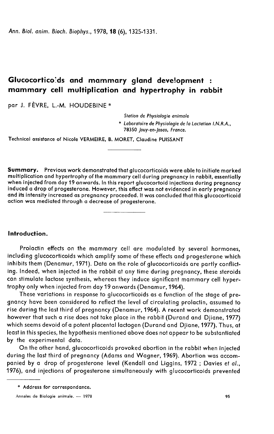Ann. Biol. anim. Bioch. Biophys., 1978, 18 (6), 1325-1331.

# Glucocortico ds and mammary gland development : mammary cell multiplication and hypertrophy in rabbit

par J. FÈVRE, L.-M. HOUDEBINE \*

Station de Physiologie animale

\* Laboratoire de Physiologie de la Lactation LN.R.A., 78350 Jouy-en-Josas, France.

Technical assistance of Nicole VERMEIRE, B. MORET, Claudine PUISSANT

Summary. Previous work demonstrated that glucocorticoids were able to initiate marked when injected from day 19 onwards. In this report glucocortoid injections during pregnancy<br>induced a drop of progesterone. However, this effect was not evidenced in early pregnancy and its intensity increased as pregnancy proceeded. It was concluded that this glucocorticoid action was mediated through a decrease of progesterone.

### Introduction.

Prolactin effects on the mammary cell are modulated by several hormones, including glucocorticoids which amplify some of these effects and progesterone which inhibits them (Denamur, 1971). Data on the role of glucocorticoids are partly conflicting. Indeed, when injected in the rabbit at any time during pregnancy, these steroids can stimulate lactose synthesis, whereas they induce significant mammary cell hypertrophy only when injected from day 19 onwards (Denamur, 1964).

These variations in response to glucocorticoids as a function of the stage of pregnancy have been considered to reflect the level of circulating prolactin, assumed to rise during the last third of pregnancy (Denamur, 1964). A recent work demonstrated however that such a rise does not take place in the rabbit (Durand and Djiane, 1977) which seems devoid of a potent placental lactogen (Durand and Djiane, 1977). Thus, at least in this species, the hypothesis mentioned above does not appear to be substantiated by the experimental data.

On the other hand, glucocorticoids provoked abortion in the rabbit when injected during the last third of pregnancy (Adams and Wagner, 1969). Abortion was accompanied by a drop of progesterone level (Kendall and Liggins, 1972 ; Davies et al., 1976), and injections of progesterone simultaneously with glucocorticoids prevented

<sup>\*</sup> Address for correspondance.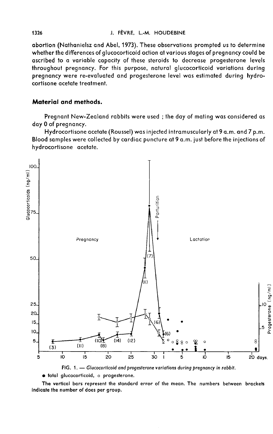abortion (Nathanielsz and Abel, 1973). These observations prompted us to determine whether the differences of glucocorticoid action at various stages of pregnancy could be ascribed to a variable capacity of these steroids to decrease progesterone levels throughout pregnancy. For this purpose, natural glucocorticoid variations during pregnancy were re-evaluated and progesterone level was estimated during hydrocortisone acetate treatment.

# Material and methods.

Pregnant New-Zealand rabbits were used ; the day of mating was considered as day 0 of pregnancy.

Hydrocortisone acetate (Roussel) was injected intramuscularly at 9 a.m. and 7 p.m. Blood samples were collected by cardiac puncture at 9 a.m. just before the injections of hydrocortisone acetate.



FIG. 1. - Glucocorticoid and progesterone variations during pregnancy in rabbit.

· total glucocorticoid, o progesterone.

The vertical bars represent the standard error of the mean. The numbers between brackets indicate the number of does per group.

1326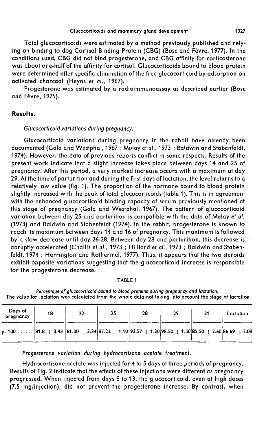Total glucocorticoids were estimated by a method previously published and relying on binding to dog Cortisol Binding Protein (CBG) (Bosc and Fèvre, 1977). In the conditions used, CBG did not bind progesterone, and CBG affinity for corticosterone was about one-half of the affinity for cortisol. Glucocorticoids bound to blood protein were determined after specific elimination of the free glucocorticoid by adsorption on activated charcoal (Heyns et al., 1967).

Progesterone was estimated by a radioimmunoassay as described earlier (Bosc and Fèvre, 1975).

# Results.

## Glucocorticoid variations during pregnancy.

Glucocorticoid variations during pregnancy in the rabbit have already been documented (Gala and Westphal, 1967 ; Mulay et al., 1973 ; Baldwin and Stabenfeldt, 1974). However, the data of previous reports conflict in some respects. Results of the present work indicate that a slight increase takes place between days 14 and 25 of pregnancy. After this period, a very marked increase occurs with a maximum at day 29. At the time of parturition and during the first days of lactation, the level returns to a relatively low value (fig. 1). The proportion of the hormone bound to blood protein slightly increased with the peak of total glucocorticoids (table 1). This is in agreement with the enhanced glucocorticoid binding capacity of serum previously mentioned at this stage of pregnancy (Gala and Westphal, 1967). The pattern of glucocorticoid variation between day 25 and parturition is compatible with the data of Mulay et al. (1973) and Baldwin and Stabenfeldt (1974). In the rabbit, progesterone is known to reach its maximum between days 14 and 16 of pregnancy. This maximum is followed by a slow decrease until day 26-28. Between day 28 and parturition, this decrease is abruptly accelerated (Challis et al., 1973 ; Hilliard et al., 1973 ; Baldwin and Stabenfeldt, 1974 ; Harrington and Rothermel, 1977). Thus, it appears that the two steroids exhibit opposite variations suggesting that the glucocorticoid increase is responsible for the progesterone decrease.

#### TABLE 1

Percentage of glucocorticoid bound to blood proteins during pregnancy and lactation. The value for lactation was calculated from the whole data not taking into account the stage of lactation

| Days of<br>pregnancy                                                                                                                                                | 18 | 22 | 25 | 28 | 29 | 31 | Lactation |
|---------------------------------------------------------------------------------------------------------------------------------------------------------------------|----|----|----|----|----|----|-----------|
| p. 100 $\ldots\ldots$ 81.8 $\pm$ 3.43 $ $ 81.00 $\pm$ 3.34 $ $ 87.22 $\pm$ 1.10 $ $ 93.57 $\pm$ 1.30 $ $ 98.50 $\pm$ 1.50 $ $ 85.50 $\pm$ 2.60 $ $ 86.69 $\pm$ 2.09 |    |    |    |    |    |    |           |

Progesterone variation during hydrocortisone acetate treatment.

Hydrocortisone acetate was injected for 4 to 5 days at three periods of pregnancy. Results of Fig. 2 indicate that the effects of these injections were different as pregnancy progressed. When injected from days 8 to 13, the glucocorticoid, even at high doses (7.5 mg/injection), did not prevent the progesterone increase. By contrast, when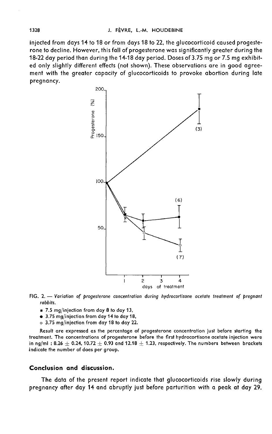injected from days 14 to 18 or from days 18 to 22, the glucocorticoid caused progeste rone to decline. However, this fall of progesterone was significantly greater during the 18-22 day period than during the 14-18 day period. Doses of 3.75 mg or 7.5 mg exhibited only slightly different effects (not shown). These observations are in good agreement with the greater capacity of glucocorticoids to provoke abortion during late pregnancy.<br>200



FIG. 2. - Variation of progesterone concentration during hydrocortisone acetate treatment of pregnant rabbits.

- $\equiv$  7.5 mg/injection from day 8 to day 13,
- $\bullet$  3.75 mg/injection from day 14 to day 18,
- o 3.75 mg/injection from day 18 to day 22.

Result are expressed as the percentage of progesterone concentration just before starting the treatment. The concentrations of progesterone before the first hydrocortisone acetate injection were in ng/ml : 8.26  $\pm$  0.24, 10.72  $\pm$  0.93 and 12.18  $\pm$  1.23, respectively. The numbers between brackets indicate the number of does per group.

### Conclusion and discussion.

The data of the present report indicate that glucocorticoids rise slowly during pregnancy after day 14 and abruptly just before parturition with a peak at day 29.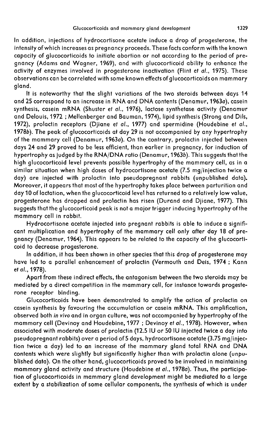In addition, injections of hydrocortisone acetate induce a drop of progesterone, the intensity of which increases as pregnancy proceeds. These facts conform with the known capacity of glucocorticoids to initiate abortion or not according to the period of pregnancy (Adams and Wagner, 1969), and with glucocorticoid ability to enhance the activity of enzymes involved in progesterone inactivation (Flint et al., 1975). These observations can be correlated with some known effects of glucocorticoids on mammary gland.

It is noteworthy that the slight variations of the two steroids between days 14 and 25 correspond to an increase in RNA and DNA contents (Denamur,19630), casein synthesis, casein mRNA (Shuster et al., 1976), lactose synthetase activity (Denamur and Delouis, 1972 ; Mellenberger and Bauman, 1974), lipid synthesis (Strong and Dils, 1972), prolactin receptors (Djiane et al., 1977) and spermidine (Houdebine et al., 19786). The peak of glucocorticoids at day 29 is not accompanied by any hypertrophy of the mammary cell (Denamur, 1963a). On the contrary, prolactin injected between days 24 and 29 proved to be less efficient, than earlier in pregnancy, for induction of hypertrophy as judged by the RNA/DNA ratio (Denamur, 1963b). This suggests that the high glucocorticoid level prevents possible hypertrophy of the mammary cell, as in a similar situation when high doses of hydrocortisone acetate (7.5 mg/injection twice a day) are injected with prolactin into pseudopregnant rabbits (unpublished data). Moreover, it appears that most of the hypertrophy takes place between parturition and day 10 of lactation, when the glucocorticoid level has returned to a relatively low value, progesterone has dropped and prolactin has risen (Durand and Djiane, 1977). This suggests that the glucocorticoid peak is not a major trigger inducing hypertrophy of the mammary cell in rabbit.

Hydrocortisone acetate injected into pregnant rabbits is able to induce a significant multiplication and hypertrophy of the mammary cell only after day 18 of pregnancy (Denamur, 1964). This appears to be related to the capacity of the glucocorticoid to decrease progesterone.

In addition, it has been shown in other species that this drop of progesterone may have led to a parallel enhancement of prolactin (Vermouth and Deis, 1974 ; Kann et al., 1978).

Apart from these indirect effects, the antagonism between the two steroids may be mediated by a direct competition in the mammary cell, for instance towards progeste rone receptor binding.

Glucocorticoids have been demonstrated to amplify the action of prolactin on casein synthesis by favouring the accumulation or casein mRNA. This amplification, observed both in vivo and in organ culture, was not accompanied by hypertrophy of the mammary cell (Devinoy and Houdebine, 1977 ; Devinoy et al., 1978). However, when associated with moderate doses of prolactin (12.5 IU or 50 IU injected twice a day into pseudopregnant rabbits) over a period of 5 days, hydrocortisone acetate (3.75 mg/injection twice a day) led to an increase of the mammary gland total RNA and DNA contents which were slightly but significantly higher than with prolactin alone (unpublished data). On the other hand, glucocorticoids proved to be involved in maintaining mammary gland activity and structure (Houdebine et al., 1978a). Thus, the participation of glucocorticoids in mammary gland development might be mediated to a large extent by a stabilization of some cellular components, the synthesis of which is under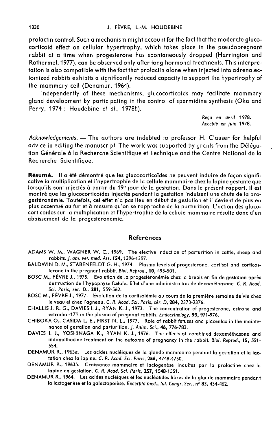prolactin control. Such a mechanism might account for the fact that the moderate glucocorticoid effect on cellular hypertrophy, which takes place in the pseudopregnant rabbit at a time when progesterone has spontaneously dropped (Harrington and Rothermel, 1977), can be observed only after long hormonal treatments. This interpretation is also compatible with the fact that prolactin alone when injected into adrenalectomized rabbits exhibits a significantly reduced capacity to support the hypertrophy of the mammary cell (Denamur, 1964).

Independently of these mechanisms, glucocorticoids may facilitate mammary gland development by participating in the control of spermidine synthesis (Oka and Perry, 1974; Houdebine et al., 1978b).

> Refu en avril 1978. Accepté en juin 1978.

Acknowledgements.―The authors are indebted to professor H. Clouser for helpful advice in editing the manuscript. The work was supported by grants from the Délégation G6n6rale à la Recherche Scientifique et Technique and the Centre National de la Recherche Scientifique.

Résumé. Il a été démontré que les glucocorticoïdes ne peuvent induire de façon signifi-<br>cative la multiplication et l'hypertrophie de la cellule mammaire chez la lapine gestante que lorsqu'ils sont injectés à partir du 19<sup>e</sup> jour de la gestation. Dans le présent rapport, il est montré que les glucocorticoïdes injectés pendant la gestation induisent une chute de la progestéronémie. Toutefois, cet effet n'a pas lieu en début de gestation et il devient de plus en plus accentué au fur et à mesure qu'on se rapproche de la parturition. L'action des glucocorticoïdes sur la multiplication et l'hypertrophie de la cellule mammaire résulte donc d'un abaissement de la progestéronémie.

#### References

- ADAMS W. M., WAGNER W. C., 1969. The elective induction of parturition in cattle, sheep and rabbits. *J. am. vet. med. Ass.* **154,** 1396-1397.
- BALDWIN D. M., STABENFELDT G. H., 1974. Plasma levels of progesterone, cortisol and corticosterone in the pregnant rabbit. Biol. Reprod., 10, 495-501.
- BOSC M., FÈVRE J., 1975. Evolution de la progestéronémie chez la brebis en fin de gestation après destruction de l'hypophyse fœtale. Effet d'une administration de dexaméthasone. C. R. Acad. Sci. Paris, sér. D., 281, 559-562.
- BOSC M., FÈVRE J., 1977. Evolution de la cortisolémie au cours de la première semaine de vie chez le veau et chez l'agneau. C. R. Acad. Sci. Paris, sér. D, 284, 2373-2376.
- CHALLIS J. R. G., DAVIES I. J., RYAN K. J., 1973. The concentration of progesterone, estrone and estradiol-17 $\beta$  in the plasma of pregnant rabbits. Endocrinology, 93, 971-976.
- CHIBOKA 0., CASIDA L. E., FIRST N. L., 1977. Role of rabbit fetuses and placentas in the maintenance of gestation and parturition, J. Anim. Sci., 46, 776-783.
- DAVIES I. J., YOSHINAGA K., RYAN K. J., 1976. The effects of combined dexamethasone and indomethacine treatment on the outcome of pregnancy in the rabbit. Biol. Reprod., 15, 551- 554.
- DENAMUR R., 1963a. Les acides nucléiques de la glande mammaire pendant la gestation et la lactation chez la lapine. C. R. Acad. Sci. Paris, 256, 4748-4750.
- DENAMUR R., 1963b. Croissance mammaire et lactogenèse induites par la prolactine chez la lapine en gestation. C. R. Acad. Sci. Paris, 257, 1548-1551.
- DENAMUR R., 1964. Les acides nucléiques et les nucléotides libres de la glande mammaire pendant la lactogenèse et la galactopoïèse. Excerpta med., Int. Congr. Ser., nº 83, 434-462.